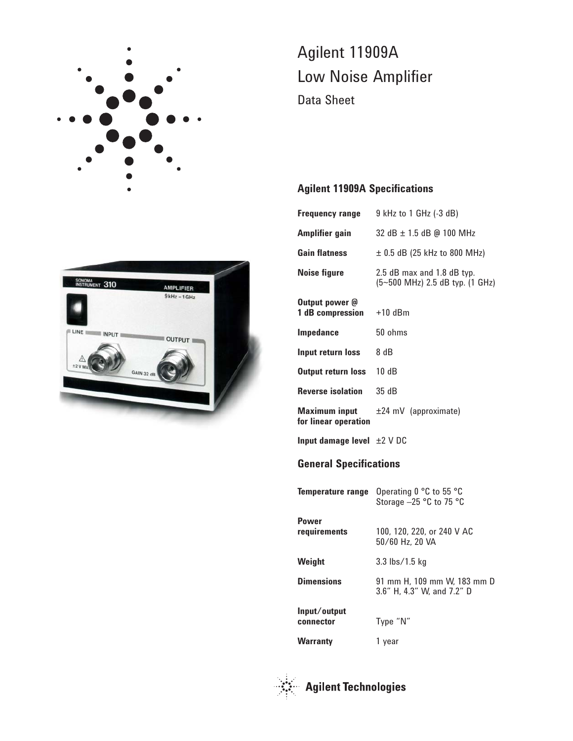

# Agilent 11909A Low Noise Amplifier Data Sheet

## **Agilent 11909A Specifications**

| <b>Frequency range</b>                       | 9 kHz to 1 GHz (-3 dB)                                        |  |
|----------------------------------------------|---------------------------------------------------------------|--|
| Amplifier gain                               | 32 dB ± 1.5 dB @ 100 MHz                                      |  |
| <b>Gain flatness</b>                         | $\pm$ 0.5 dB (25 kHz to 800 MHz)                              |  |
| <b>Noise figure</b>                          | 2.5 dB max and 1.8 dB typ.<br>(5~500 MHz) 2.5 dB typ. (1 GHz) |  |
| Output power @<br>1 dB compression           | $+10$ dBm                                                     |  |
| Impedance                                    | 50 ohms                                                       |  |
| Input return loss                            | 8 dB                                                          |  |
| <b>Output return loss</b>                    | 10dB                                                          |  |
| <b>Reverse isolation</b>                     | 35 dB                                                         |  |
| <b>Maximum input</b><br>for linear operation | $±24$ mV (approximate)                                        |  |
| Input damage level $\pm 2$ V DC              |                                                               |  |
| <b>General Specifications</b>                |                                                               |  |
| Temperature range                            | Operating 0 °C to 55 °C<br>Storage -25 °C to 75 °C            |  |
| <b>Power</b><br>requirements                 | 100, 120, 220, or 240 V AC<br>50/60 Hz, 20 VA                 |  |
| Weight                                       | 3.3 lbs/1.5 kg                                                |  |
| <b>Dimensions</b>                            | 91 mm H, 109 mm W, 183 mm D<br>3.6" H, 4.3" W, and 7.2" D     |  |
| Input/output<br>connector                    | Type "N"                                                      |  |
| <b>Warranty</b>                              | 1 year                                                        |  |





**Agilent Technologies**